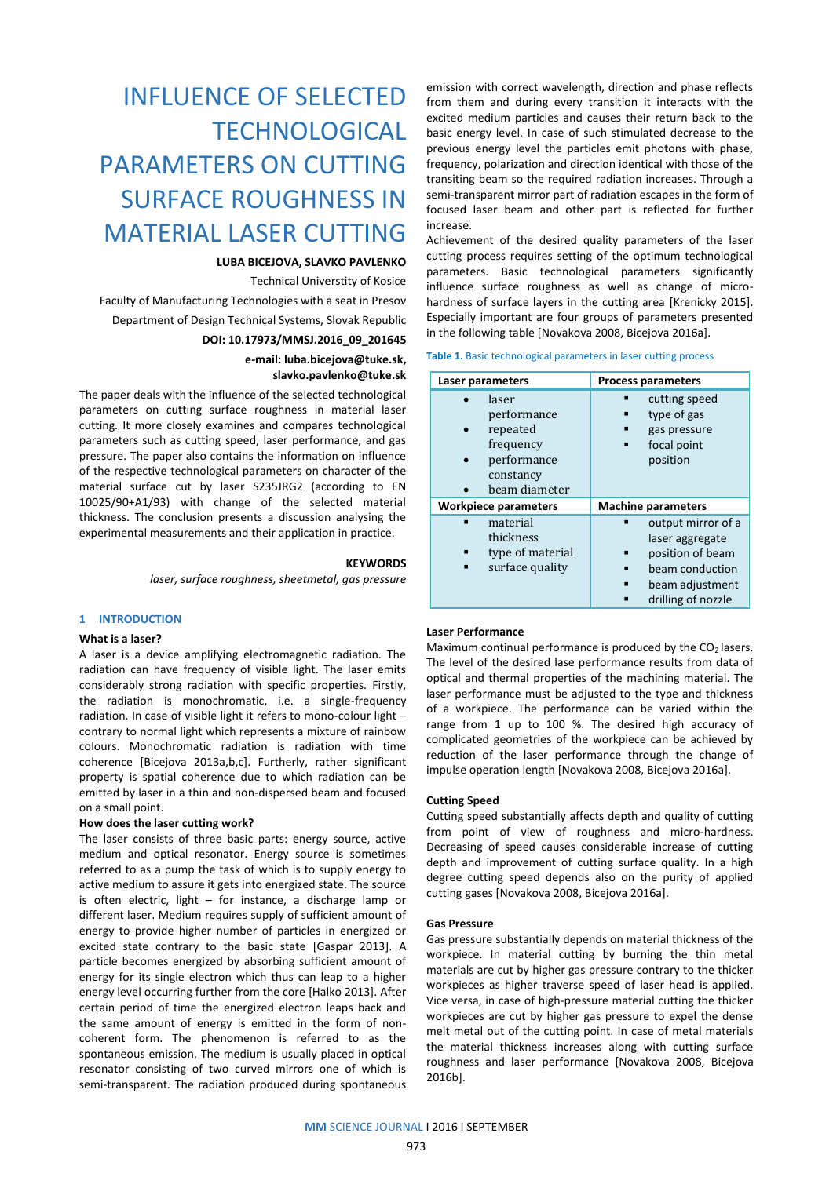# INFLUENCE OF SELECTED **TECHNOLOGICAL** PARAMETERS ON CUTTING SURFACE ROUGHNESS IN MATERIAL LASER CUTTING

# **LUBA BICEJOVA, SLAVKO PAVLENKO**

Technical Universtity of Kosice

Faculty of Manufacturing Technologies with a seat in Presov Department of Design Technical Systems, Slovak Republic

# **DOI: 10.17973/MMSJ.2016\_09\_201645**

**e-mail[: luba.bicejova@tuke.sk,](mailto:luba.bicejova@tuke.sk) slavko.pavlenko@tuke.sk**

The paper deals with the influence of the selected technological parameters on cutting surface roughness in material laser cutting. It more closely examines and compares technological parameters such as cutting speed, laser performance, and gas pressure. The paper also contains the information on influence of the respective technological parameters on character of the material surface cut by laser S235JRG2 (according to EN 10025/90+A1/93) with change of the selected material thickness. The conclusion presents a discussion analysing the experimental measurements and their application in practice.

### **KEYWORDS**

*laser, surface roughness, sheetmetal, gas pressure*

## **1 INTRODUCTION**

## **What is a laser?**

A laser is a device amplifying electromagnetic radiation. The radiation can have frequency of visible light. The laser emits considerably strong radiation with specific properties. Firstly, the radiation is monochromatic, i.e. a single-frequency radiation. In case of visible light it refers to mono-colour light – contrary to normal light which represents a mixture of rainbow colours. Monochromatic radiation is radiation with time coherence [Bicejova 2013a,b,c]. Furtherly, rather significant property is spatial coherence due to which radiation can be emitted by laser in a thin and non-dispersed beam and focused on a small point.

## **How does the laser cutting work?**

The laser consists of three basic parts: energy source, active medium and optical resonator. Energy source is sometimes referred to as a pump the task of which is to supply energy to active medium to assure it gets into energized state. The source is often electric, light – for instance, a discharge lamp or different laser. Medium requires supply of sufficient amount of energy to provide higher number of particles in energized or excited state contrary to the basic state [Gaspar 2013]. A particle becomes energized by absorbing sufficient amount of energy for its single electron which thus can leap to a higher energy level occurring further from the core [Halko 2013]. After certain period of time the energized electron leaps back and the same amount of energy is emitted in the form of noncoherent form. The phenomenon is referred to as the spontaneous emission. The medium is usually placed in optical resonator consisting of two curved mirrors one of which is semi-transparent. The radiation produced during spontaneous

emission with correct wavelength, direction and phase reflects from them and during every transition it interacts with the excited medium particles and causes their return back to the basic energy level. In case of such stimulated decrease to the previous energy level the particles emit photons with phase, frequency, polarization and direction identical with those of the transiting beam so the required radiation increases. Through a semi-transparent mirror part of radiation escapes in the form of focused laser beam and other part is reflected for further increase.

Achievement of the desired quality parameters of the laser cutting process requires setting of the optimum technological parameters. Basic technological parameters significantly influence surface roughness as well as change of microhardness of surface layers in the cutting area [Krenicky 2015]. Especially important are four groups of parameters presented in the following table [Novakova 2008, Bicejova 2016a].

#### **Table 1.** Basic technological parameters in laser cutting process

| Laser parameters                                                                           | <b>Process parameters</b>                                                                                             |  |  |
|--------------------------------------------------------------------------------------------|-----------------------------------------------------------------------------------------------------------------------|--|--|
| laser<br>performance<br>repeated<br>frequency<br>performance<br>constancy<br>beam diameter | cutting speed<br>type of gas<br>gas pressure<br>focal point<br>position                                               |  |  |
| <b>Workpiece parameters</b>                                                                | <b>Machine parameters</b>                                                                                             |  |  |
| material<br>thickness<br>type of material<br>surface quality                               | output mirror of a<br>laser aggregate<br>position of beam<br>beam conduction<br>beam adjustment<br>drilling of nozzle |  |  |

# **Laser Performance**

Maximum continual performance is produced by the  $CO<sub>2</sub>$  lasers. The level of the desired lase performance results from data of optical and thermal properties of the machining material. The laser performance must be adjusted to the type and thickness of a workpiece. The performance can be varied within the range from 1 up to 100 %. The desired high accuracy of complicated geometries of the workpiece can be achieved by reduction of the laser performance through the change of impulse operation length [Novakova 2008, Bicejova 2016a].

## **Cutting Speed**

Cutting speed substantially affects depth and quality of cutting from point of view of roughness and micro-hardness. Decreasing of speed causes considerable increase of cutting depth and improvement of cutting surface quality. In a high degree cutting speed depends also on the purity of applied cutting gases [Novakova 2008, Bicejova 2016a].

# **Gas Pressure**

Gas pressure substantially depends on material thickness of the workpiece. In material cutting by burning the thin metal materials are cut by higher gas pressure contrary to the thicker workpieces as higher traverse speed of laser head is applied. Vice versa, in case of high-pressure material cutting the thicker workpieces are cut by higher gas pressure to expel the dense melt metal out of the cutting point. In case of metal materials the material thickness increases along with cutting surface roughness and laser performance [Novakova 2008, Bicejova 2016b].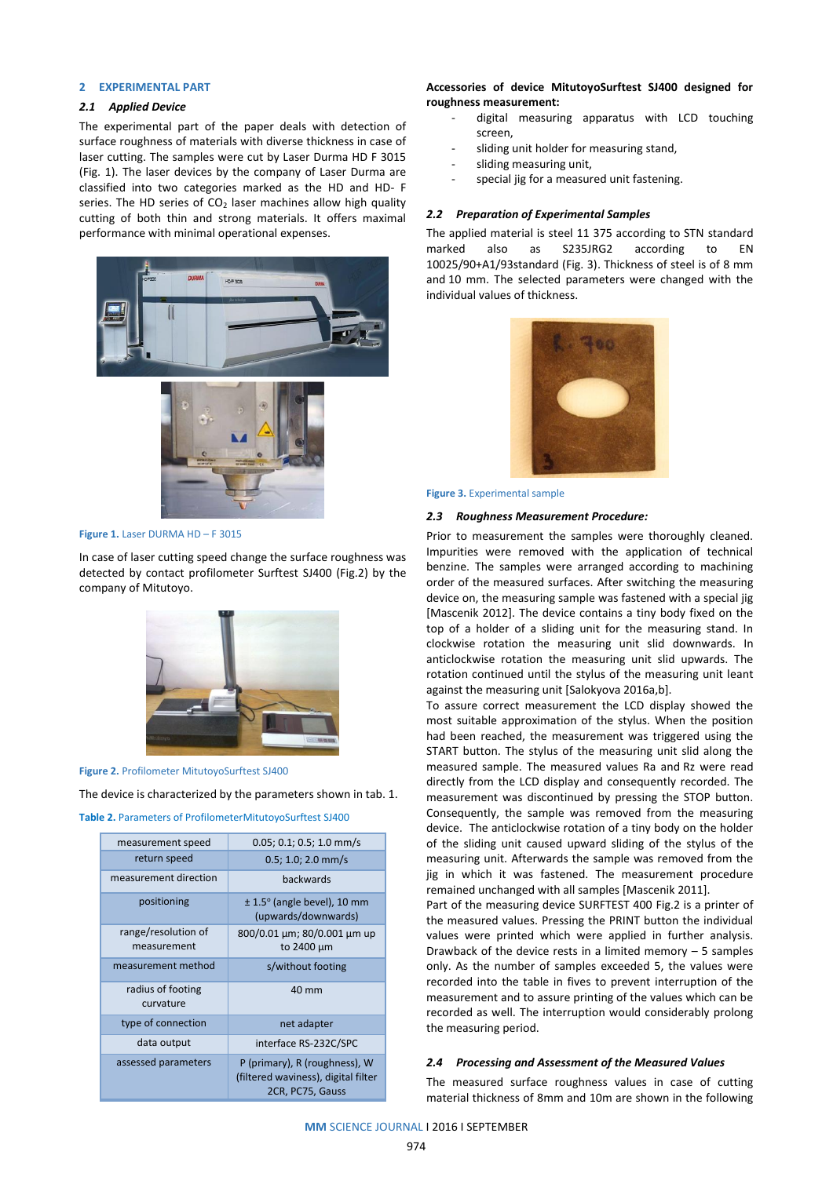# **2 EXPERIMENTAL PART**

# *2.1 Applied Device*

The experimental part of the paper deals with detection of surface roughness of materials with diverse thickness in case of laser cutting. The samples were cut by Laser Durma HD F 3015 (Fig. 1). The laser devices by the company of Laser Durma are classified into two categories marked as the HD and HD- F series. The HD series of  $CO<sub>2</sub>$  laser machines allow high quality cutting of both thin and strong materials. It offers maximal performance with minimal operational expenses.





**Figure 1.** Laser DURMA HD – F 3015

In case of laser cutting speed change the surface roughness was detected by contact profilometer Surftest SJ400 (Fig.2) by the company of Mitutoyo.



**Figure 2.** Profilometer MitutoyoSurftest SJ400

The device is characterized by the parameters shown in tab. 1.

| measurement speed                  | $0.05; 0.1; 0.5; 1.0$ mm/s                                                               |  |  |
|------------------------------------|------------------------------------------------------------------------------------------|--|--|
| return speed                       | $0.5; 1.0; 2.0$ mm/s                                                                     |  |  |
| measurement direction              | backwards                                                                                |  |  |
| positioning                        | $\pm$ 1.5 $\circ$ (angle bevel), 10 mm<br>(upwards/downwards)                            |  |  |
| range/resolution of<br>measurement | 800/0.01 µm; 80/0.001 µm up<br>to 2400 µm                                                |  |  |
| measurement method                 | s/without footing                                                                        |  |  |
| radius of footing<br>curvature     | 40 mm                                                                                    |  |  |
| type of connection                 | net adapter                                                                              |  |  |
| data output                        | interface RS-232C/SPC                                                                    |  |  |
| assessed parameters                | P (primary), R (roughness), W<br>(filtered waviness), digital filter<br>2CR, PC75, Gauss |  |  |

# **Accessories of device MitutoyoSurftest SJ400 designed for roughness measurement:**

- digital measuring apparatus with LCD touching screen,
- sliding unit holder for measuring stand,
- sliding measuring unit,
- special jig for a measured unit fastening.

#### *2.2 Preparation of Experimental Samples*

The applied material is steel 11 375 according to STN standard marked also as S235JRG2 according to EN 10025/90+A1/93standard (Fig. 3). Thickness of steel is of 8 mm and 10 mm. The selected parameters were changed with the individual values of thickness.



#### **Figure 3.** Experimental sample

### *2.3 Roughness Measurement Procedure:*

Prior to measurement the samples were thoroughly cleaned. Impurities were removed with the application of technical benzine. The samples were arranged according to machining order of the measured surfaces. After switching the measuring device on, the measuring sample was fastened with a special jig [Mascenik 2012]. The device contains a tiny body fixed on the top of a holder of a sliding unit for the measuring stand. In clockwise rotation the measuring unit slid downwards. In anticlockwise rotation the measuring unit slid upwards. The rotation continued until the stylus of the measuring unit leant against the measuring unit [Salokyova 2016a,b].

To assure correct measurement the LCD display showed the most suitable approximation of the stylus. When the position had been reached, the measurement was triggered using the START button. The stylus of the measuring unit slid along the measured sample. The measured values Ra and Rz were read directly from the LCD display and consequently recorded. The measurement was discontinued by pressing the STOP button. Consequently, the sample was removed from the measuring device. The anticlockwise rotation of a tiny body on the holder of the sliding unit caused upward sliding of the stylus of the measuring unit. Afterwards the sample was removed from the jig in which it was fastened. The measurement procedure remained unchanged with all samples [Mascenik 2011].

Part of the measuring device SURFTEST 400 Fig.2 is a printer of the measured values. Pressing the PRINT button the individual values were printed which were applied in further analysis. Drawback of the device rests in a limited memory  $-5$  samples only. As the number of samples exceeded 5, the values were recorded into the table in fives to prevent interruption of the measurement and to assure printing of the values which can be recorded as well. The interruption would considerably prolong the measuring period.

## *2.4 Processing and Assessment of the Measured Values*

The measured surface roughness values in case of cutting material thickness of 8mm and 10m are shown in the following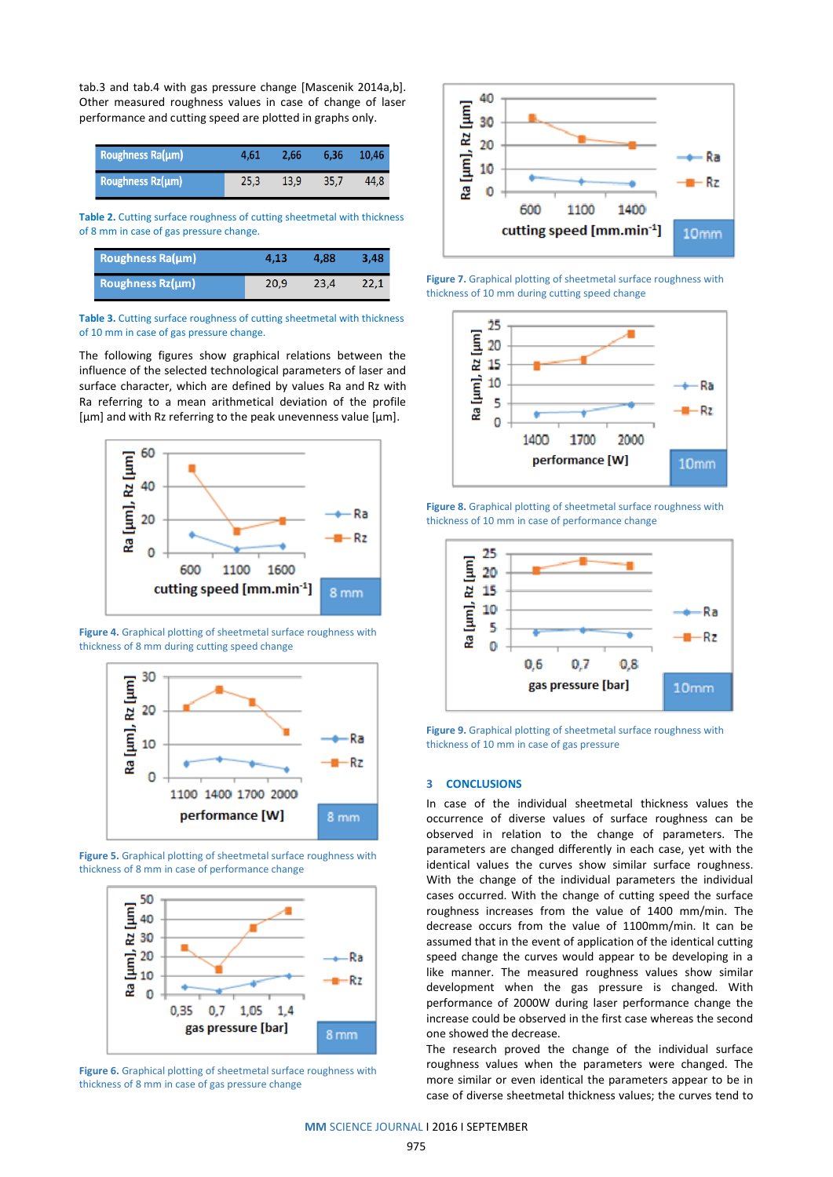tab.3 and tab.4 with gas pressure change [Mascenik 2014a,b]. Other measured roughness values in case of change of laser performance and cutting speed are plotted in graphs only.

| Roughness Ra(µm)      | 4.61 | 2.66 | 6.36 | 10.46 |
|-----------------------|------|------|------|-------|
| Roughness $Rz(\mu m)$ | 25.3 | 13.9 | 35.7 | 44.8  |

**Table 2.** Cutting surface roughness of cutting sheetmetal with thickness of 8 mm in case of gas pressure change.

| Roughness Ra(µm)      | 4.13 | 4.88 | 3.48 |
|-----------------------|------|------|------|
| Roughness $Rz(\mu m)$ | 20.9 | 23.4 | 22.1 |

**Table 3.** Cutting surface roughness of cutting sheetmetal with thickness of 10 mm in case of gas pressure change.

The following figures show graphical relations between the influence of the selected technological parameters of laser and surface character, which are defined by values Ra and Rz with Ra referring to a mean arithmetical deviation of the profile  $[µm]$  and with Rz referring to the peak unevenness value  $[µm]$ .



**Figure 4.** Graphical plotting of sheetmetal surface roughness with thickness of 8 mm during cutting speed change



**Figure 5.** Graphical plotting of sheetmetal surface roughness with thickness of 8 mm in case of performance change



**Figure 6.** Graphical plotting of sheetmetal surface roughness with thickness of 8 mm in case of gas pressure change



**Figure 7.** Graphical plotting of sheetmetal surface roughness with thickness of 10 mm during cutting speed change



**Figure 8.** Graphical plotting of sheetmetal surface roughness with thickness of 10 mm in case of performance change



**Figure 9.** Graphical plotting of sheetmetal surface roughness with thickness of 10 mm in case of gas pressure

## **3 CONCLUSIONS**

In case of the individual sheetmetal thickness values the occurrence of diverse values of surface roughness can be observed in relation to the change of parameters. The parameters are changed differently in each case, yet with the identical values the curves show similar surface roughness. With the change of the individual parameters the individual cases occurred. With the change of cutting speed the surface roughness increases from the value of 1400 mm/min. The decrease occurs from the value of 1100mm/min. It can be assumed that in the event of application of the identical cutting speed change the curves would appear to be developing in a like manner. The measured roughness values show similar development when the gas pressure is changed. With performance of 2000W during laser performance change the increase could be observed in the first case whereas the second one showed the decrease.

The research proved the change of the individual surface roughness values when the parameters were changed. The more similar or even identical the parameters appear to be in case of diverse sheetmetal thickness values; the curves tend to